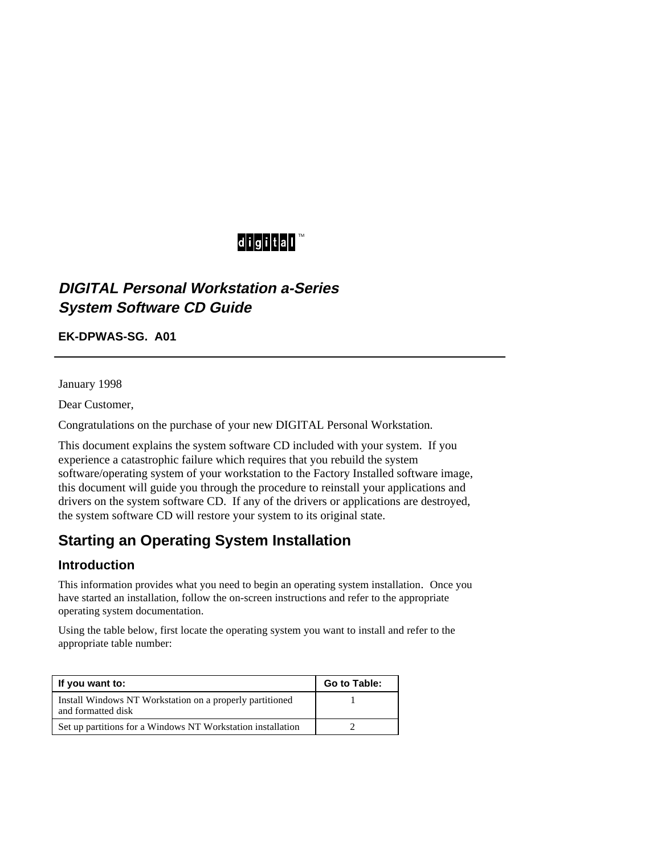# digital™

## **DIGITAL Personal Workstation a-Series System Software CD Guide**

**EK-DPWAS-SG. A01**

January 1998

Dear Customer,

Congratulations on the purchase of your new DIGITAL Personal Workstation.

This document explains the system software CD included with your system. If you experience a catastrophic failure which requires that you rebuild the system software/operating system of your workstation to the Factory Installed software image, this document will guide you through the procedure to reinstall your applications and drivers on the system software CD. If any of the drivers or applications are destroyed, the system software CD will restore your system to its original state.

# **Starting an Operating System Installation**

#### **Introduction**

This information provides what you need to begin an operating system installation. Once you have started an installation, follow the on-screen instructions and refer to the appropriate operating system documentation.

Using the table below, first locate the operating system you want to install and refer to the appropriate table number:

| If you want to:                                                                | Go to Table: |
|--------------------------------------------------------------------------------|--------------|
| Install Windows NT Workstation on a properly partitioned<br>and formatted disk |              |
| Set up partitions for a Windows NT Workstation installation                    |              |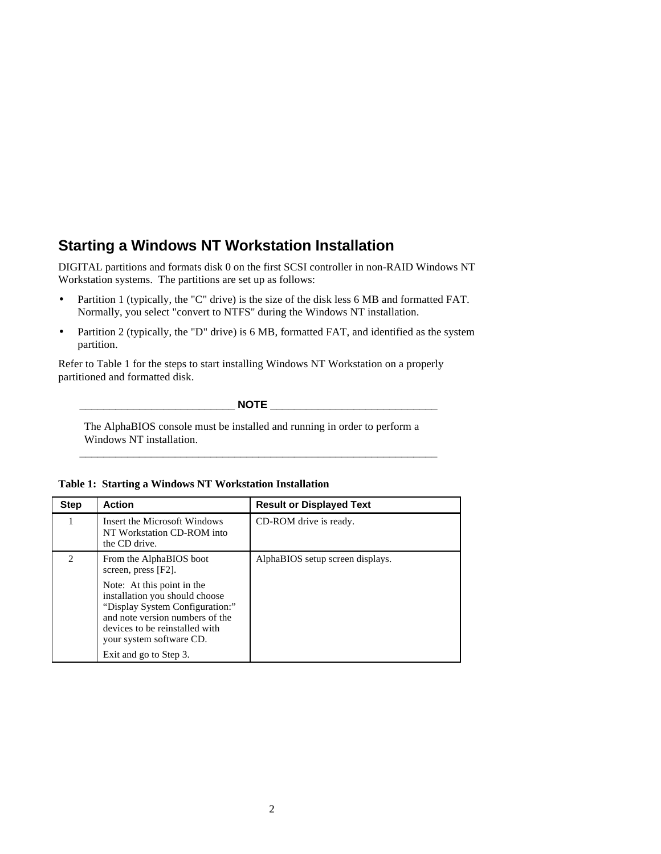### **Starting a Windows NT Workstation Installation**

DIGITAL partitions and formats disk 0 on the first SCSI controller in non-RAID Windows NT Workstation systems. The partitions are set up as follows:

- Partition 1 (typically, the "C" drive) is the size of the disk less 6 MB and formatted FAT. Normally, you select "convert to NTFS" during the Windows NT installation.
- Partition 2 (typically, the "D" drive) is 6 MB, formatted FAT, and identified as the system partition.

Refer to Table 1 for the steps to start installing Windows NT Workstation on a properly partitioned and formatted disk.

 $NOTE$ 

The AlphaBIOS console must be installed and running in order to perform a Windows NT installation.

**\_\_\_\_\_\_\_\_\_\_\_\_\_\_\_\_\_\_\_\_\_\_\_\_\_\_\_\_\_\_\_\_\_\_\_\_\_\_\_\_\_\_\_\_\_\_\_\_\_\_\_\_\_\_\_\_\_\_\_\_**

|  |  |  | Table 1: Starting a Windows NT Workstation Installation |  |
|--|--|--|---------------------------------------------------------|--|
|--|--|--|---------------------------------------------------------|--|

| <b>Step</b>                 | <b>Action</b>                                                                                                                                                                                    | <b>Result or Displayed Text</b>  |
|-----------------------------|--------------------------------------------------------------------------------------------------------------------------------------------------------------------------------------------------|----------------------------------|
|                             | Insert the Microsoft Windows<br>NT Workstation CD-ROM into<br>the CD drive.                                                                                                                      | CD-ROM drive is ready.           |
| $\mathcal{D}_{\mathcal{L}}$ | From the AlphaBIOS boot<br>screen, press [F2].                                                                                                                                                   | AlphaBIOS setup screen displays. |
|                             | Note: At this point in the<br>installation you should choose<br>"Display System Configuration:"<br>and note version numbers of the<br>devices to be reinstalled with<br>your system software CD. |                                  |
|                             | Exit and go to Step 3.                                                                                                                                                                           |                                  |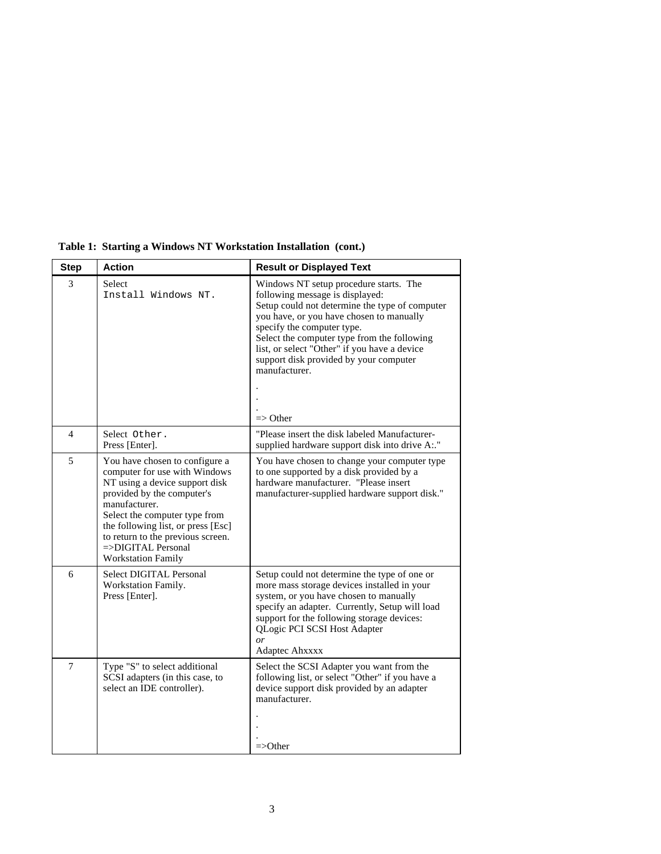| <b>Step</b>    | <b>Action</b>                                                                                                                                                                                                                                                                                                               | <b>Result or Displayed Text</b>                                                                                                                                                                                                                                                                                                                                                        |
|----------------|-----------------------------------------------------------------------------------------------------------------------------------------------------------------------------------------------------------------------------------------------------------------------------------------------------------------------------|----------------------------------------------------------------------------------------------------------------------------------------------------------------------------------------------------------------------------------------------------------------------------------------------------------------------------------------------------------------------------------------|
| 3              | Select<br>Install Windows NT.                                                                                                                                                                                                                                                                                               | Windows NT setup procedure starts. The<br>following message is displayed:<br>Setup could not determine the type of computer<br>you have, or you have chosen to manually<br>specify the computer type.<br>Select the computer type from the following<br>list, or select "Other" if you have a device<br>support disk provided by your computer<br>manufacturer.<br>$\Rightarrow$ Other |
| 4              | Select Other.<br>Press [Enter].                                                                                                                                                                                                                                                                                             | "Please insert the disk labeled Manufacturer-<br>supplied hardware support disk into drive A:."                                                                                                                                                                                                                                                                                        |
| 5              | You have chosen to configure a<br>computer for use with Windows<br>NT using a device support disk<br>provided by the computer's<br>manufacturer.<br>Select the computer type from<br>the following list, or press [Esc]<br>to return to the previous screen.<br>$\Rightarrow$ DIGITAL Personal<br><b>Workstation Family</b> | You have chosen to change your computer type<br>to one supported by a disk provided by a<br>hardware manufacturer. "Please insert<br>manufacturer-supplied hardware support disk."                                                                                                                                                                                                     |
| 6              | Select DIGITAL Personal<br>Workstation Family.<br>Press [Enter].                                                                                                                                                                                                                                                            | Setup could not determine the type of one or<br>more mass storage devices installed in your<br>system, or you have chosen to manually<br>specify an adapter. Currently, Setup will load<br>support for the following storage devices:<br>QLogic PCI SCSI Host Adapter<br>$\overline{or}$<br>Adaptec Ahxxxx                                                                             |
| $\overline{7}$ | Type "S" to select additional<br>SCSI adapters (in this case, to<br>select an IDE controller).                                                                                                                                                                                                                              | Select the SCSI Adapter you want from the<br>following list, or select "Other" if you have a<br>device support disk provided by an adapter<br>manufacturer.<br>$=\gtrsim$ Other                                                                                                                                                                                                        |

**Table 1: Starting a Windows NT Workstation Installation (cont.)**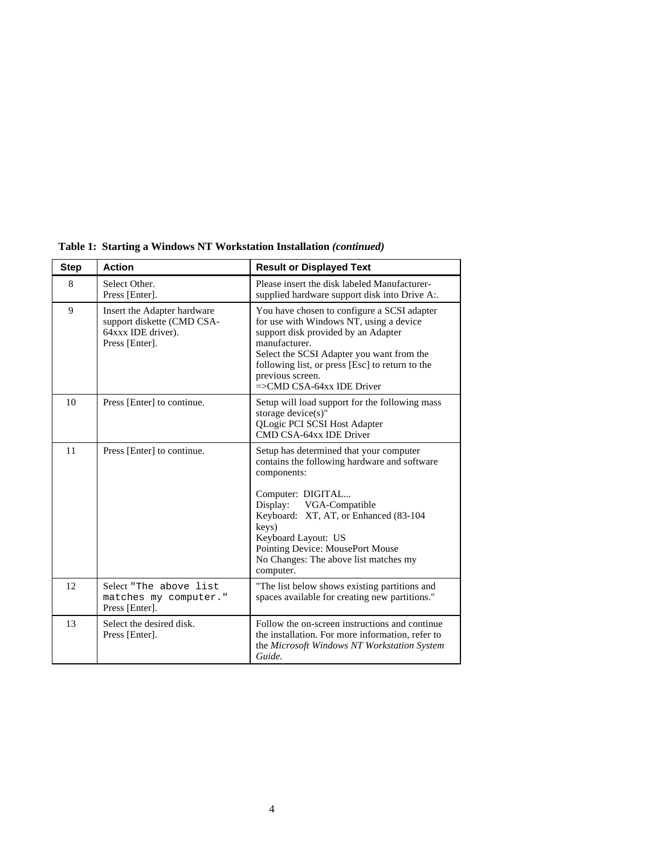| <b>Step</b> | <b>Action</b>                                                                                     | <b>Result or Displayed Text</b>                                                                                                                                                                                                                                                                                            |
|-------------|---------------------------------------------------------------------------------------------------|----------------------------------------------------------------------------------------------------------------------------------------------------------------------------------------------------------------------------------------------------------------------------------------------------------------------------|
| 8           | Select Other.<br>Press [Enter].                                                                   | Please insert the disk labeled Manufacturer-<br>supplied hardware support disk into Drive A:.                                                                                                                                                                                                                              |
| 9           | Insert the Adapter hardware<br>support diskette (CMD CSA-<br>64xxx IDE driver).<br>Press [Enter]. | You have chosen to configure a SCSI adapter<br>for use with Windows NT, using a device<br>support disk provided by an Adapter<br>manufacturer.<br>Select the SCSI Adapter you want from the<br>following list, or press [Esc] to return to the<br>previous screen.<br>$\equiv$ CMD CSA-64xx IDE Driver                     |
| 10          | Press [Enter] to continue.                                                                        | Setup will load support for the following mass<br>storage $device(s)$ "<br>QLogic PCI SCSI Host Adapter<br>CMD CSA-64xx IDE Driver                                                                                                                                                                                         |
| 11          | Press [Enter] to continue.                                                                        | Setup has determined that your computer<br>contains the following hardware and software<br>components:<br>Computer: DIGITAL<br>Display: VGA-Compatible<br>Keyboard: XT, AT, or Enhanced (83-104)<br>keys)<br>Keyboard Layout: US<br>Pointing Device: MousePort Mouse<br>No Changes: The above list matches my<br>computer. |
| 12          | Select "The above list<br>matches my computer."<br>Press [Enter].                                 | "The list below shows existing partitions and<br>spaces available for creating new partitions."                                                                                                                                                                                                                            |
| 13          | Select the desired disk.<br>Press [Enter].                                                        | Follow the on-screen instructions and continue<br>the installation. For more information, refer to<br>the Microsoft Windows NT Workstation System<br>Guide.                                                                                                                                                                |

**Table 1: Starting a Windows NT Workstation Installation** *(continued)*